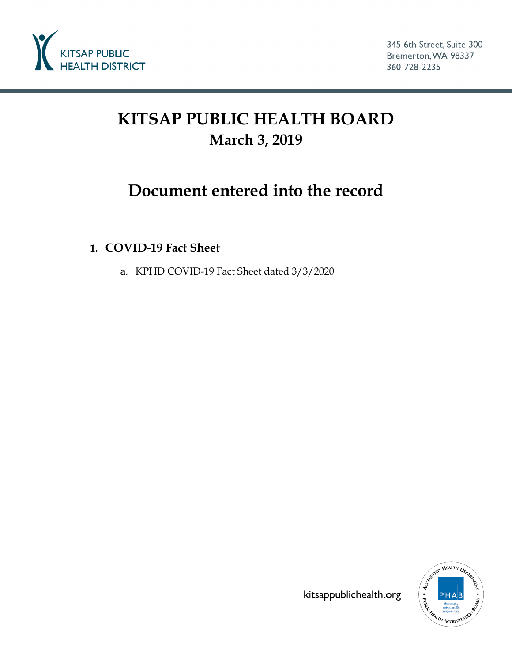

# **KITSAP PUBLIC HEALTH BOARD March 3, 2019**

## **Document entered into the record**

#### **1. COVID-19 Fact Sheet**

a. KPHD COVID-19 Fact Sheet dated 3/3/2020



kitsappublichealth.org